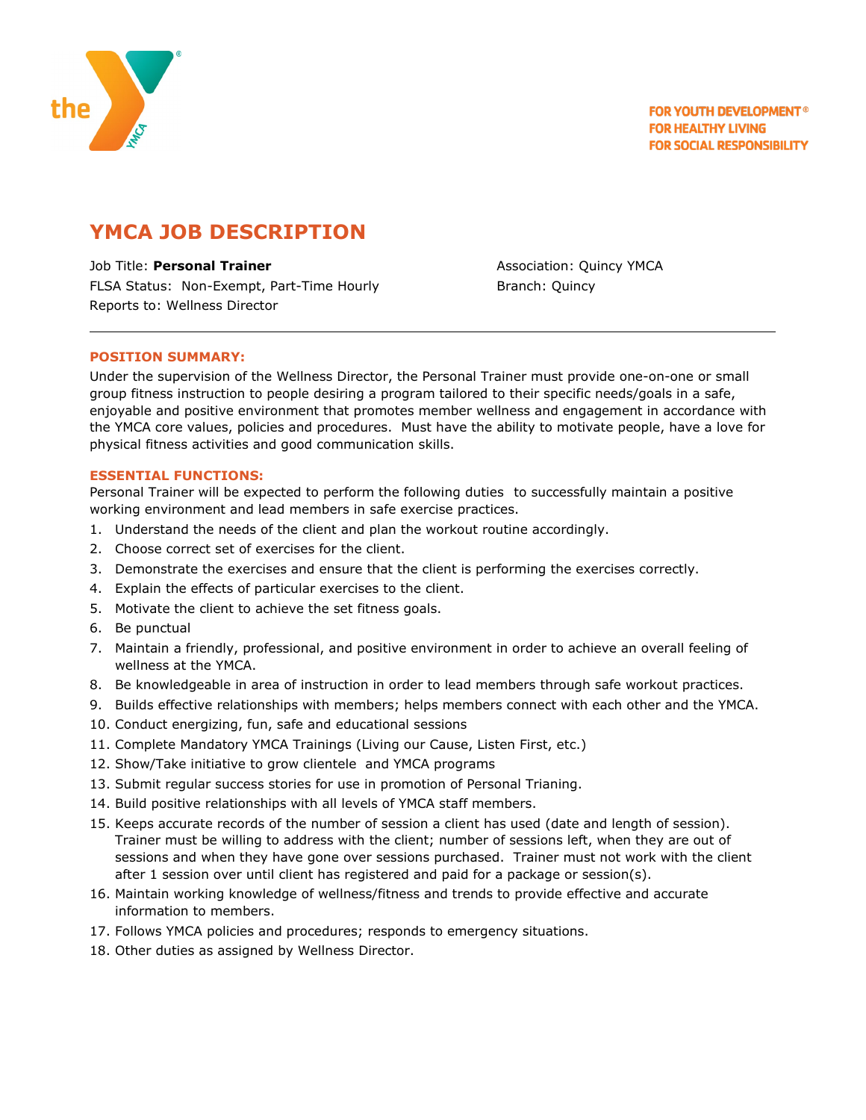

# **YMCA JOB DESCRIPTION**

Job Title: **Personal Trainer Association: Quincy YMCA** FLSA Status: Non-Exempt, Part-Time Hourly The Branch: Quincy Reports to: Wellness Director

# **POSITION SUMMARY:**

Under the supervision of the Wellness Director, the Personal Trainer must provide one-on-one or small group fitness instruction to people desiring a program tailored to their specific needs/goals in a safe, enjoyable and positive environment that promotes member wellness and engagement in accordance with the YMCA core values, policies and procedures. Must have the ability to motivate people, have a love for physical fitness activities and good communication skills.

### **ESSENTIAL FUNCTIONS:**

Personal Trainer will be expected to perform the following duties to successfully maintain a positive working environment and lead members in safe exercise practices.

- 1. Understand the needs of the client and plan the workout routine accordingly.
- 2. Choose correct set of [exercises](http://www.buzzle.com/articles/exercises/) for the client.
- 3. Demonstrate the exercises and ensure that the client is performing the exercises correctly.
- 4. Explain the effects of particular exercises to the client.
- 5. Motivate the client to achieve the set fitness goals.
- 6. Be punctual
- 7. Maintain a friendly, professional, and positive environment in order to achieve an overall feeling of wellness at the YMCA.
- 8. Be knowledgeable in area of instruction in order to lead members through safe workout practices.
- 9. Builds effective relationships with members; helps members connect with each other and the YMCA.
- 10. Conduct energizing, fun, safe and educational sessions
- 11. Complete Mandatory YMCA Trainings (Living our Cause, Listen First, etc.)
- 12. Show/Take initiative to grow clientele and YMCA programs
- 13. Submit regular success stories for use in promotion of Personal Trianing.
- 14. Build positive relationships with all levels of YMCA staff members.
- 15. Keeps accurate records of the number of session a client has used (date and length of session). Trainer must be willing to address with the client; number of sessions left, when they are out of sessions and when they have gone over sessions purchased. Trainer must not work with the client after 1 session over until client has registered and paid for a package or session(s).
- 16. Maintain working knowledge of wellness/fitness and trends to provide effective and accurate information to members.
- 17. Follows YMCA policies and procedures; responds to emergency situations.
- 18. Other duties as assigned by Wellness Director.